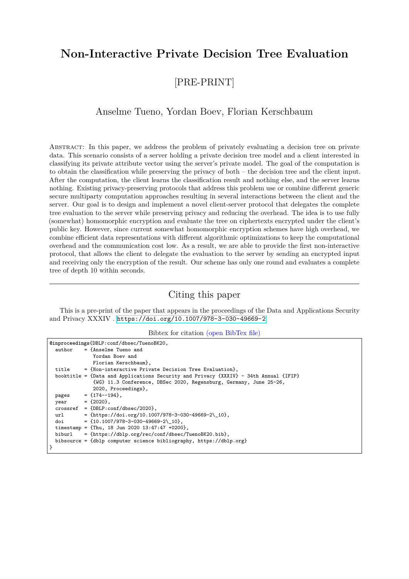# **Non-Interactive Private Decision Tree Evaluation**

# [PRE-PRINT]

# Anselme Tueno, Yordan Boev, Florian Kerschbaum

Abstract: In this paper, we address the problem of privately evaluating a decision tree on private data. This scenario consists of a server holding a private decision tree model and a client interested in classifying its private attribute vector using the server's private model. The goal of the computation is to obtain the classification while preserving the privacy of both – the decision tree and the client input. After the computation, the client learns the classification result and nothing else, and the server learns nothing. Existing privacy-preserving protocols that address this problem use or combine different generic secure multiparty computation approaches resulting in several interactions between the client and the server. Our goal is to design and implement a novel client-server protocol that delegates the complete tree evaluation to the server while preserving privacy and reducing the overhead. The idea is to use fully (somewhat) homomorphic encryption and evaluate the tree on ciphertexts encrypted under the client's public key. However, since current somewhat homomorphic encryption schemes have high overhead, we combine efficient data representations with different algorithmic optimizations to keep the computational overhead and the communication cost low. As a result, we are able to provide the first non-interactive protocol, that allows the client to delegate the evaluation to the server by sending an encrypted input and receiving only the encryption of the result. Our scheme has only one round and evaluates a complete tree of depth 10 within seconds.

# Citing this paper

This is a pre-print of the paper that appears in the proceedings of the Data and Applications Security and Privacy XXXIV . [https://doi.org/10.1007/978-3-030-49669-2](https://doi.org/10.1007/978-3-030-49669-2 )

| Bibtex for citation (open BibTex file) |  |
|----------------------------------------|--|
|----------------------------------------|--|

| @inproceedings{DBLP:conf/dbsec/TuenoBK20,                                                    |
|----------------------------------------------------------------------------------------------|
| $=$ {Anselme Tueno and<br>author                                                             |
| Yordan Boev and                                                                              |
| Florian Kerschbaum}.                                                                         |
| $=$ {Non-interactive Private Decision Tree Evaluation},<br>title                             |
| booktitle = {Data and Applications Security and Privacy $\{XXXIV\}$ - 34th Annual $\{IFIP\}$ |
| {WG} 11.3 Conference, DBSec 2020, Regensburg, Germany, June 25-26,                           |
| 2020, Proceedings},                                                                          |
| $= \{174 - 194\}.$<br>pages                                                                  |
| $=$ $\{2020\}$ .<br>year                                                                     |
| $crossref = {DBLP:conf/dbsec/2020}.$                                                         |
| $= \{ \text{https://doi.org/10.1007/978-3-030-49669-2}\_10 \},$<br>url                       |
| $= \{10.1007/978 - 3 - 030 - 49669 - 2\}$ ,<br>doi                                           |
| timestamp = $\{$ Thu, 18 Jun 2020 13:47:47 +0200 $\}$ ,                                      |
| = {https://dblp.org/rec/conf/dbsec/TuenoBK20.bib},<br>biburl                                 |
| bibsource = {dblp computer science bibliography, https://dblp.org}                           |
|                                                                                              |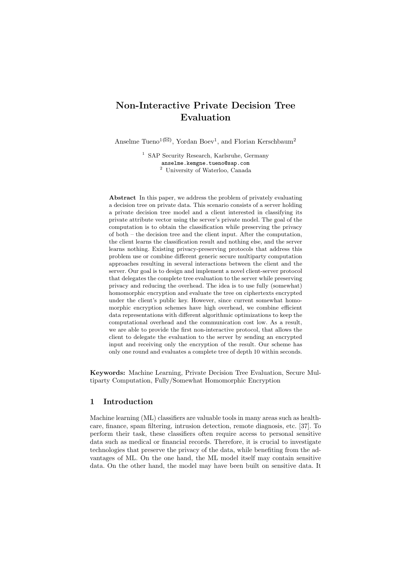# Non-Interactive Private Decision Tree Evaluation

Anselme Tueno<sup>1( $\boxtimes$ )</sup>, Yordan Boev<sup>1</sup>, and Florian Kerschbaum<sup>2</sup>

<sup>1</sup> SAP Security Research, Karlsruhe, Germany anselme.kemgne.tueno@sap.com <sup>2</sup> University of Waterloo, Canada

Abstract In this paper, we address the problem of privately evaluating a decision tree on private data. This scenario consists of a server holding a private decision tree model and a client interested in classifying its private attribute vector using the server's private model. The goal of the computation is to obtain the classification while preserving the privacy of both – the decision tree and the client input. After the computation, the client learns the classification result and nothing else, and the server learns nothing. Existing privacy-preserving protocols that address this problem use or combine different generic secure multiparty computation approaches resulting in several interactions between the client and the server. Our goal is to design and implement a novel client-server protocol that delegates the complete tree evaluation to the server while preserving privacy and reducing the overhead. The idea is to use fully (somewhat) homomorphic encryption and evaluate the tree on ciphertexts encrypted under the client's public key. However, since current somewhat homomorphic encryption schemes have high overhead, we combine efficient data representations with different algorithmic optimizations to keep the computational overhead and the communication cost low. As a result, we are able to provide the first non-interactive protocol, that allows the client to delegate the evaluation to the server by sending an encrypted input and receiving only the encryption of the result. Our scheme has only one round and evaluates a complete tree of depth 10 within seconds.

Keywords: Machine Learning, Private Decision Tree Evaluation, Secure Multiparty Computation, Fully/Somewhat Homomorphic Encryption

# 1 Introduction

Machine learning (ML) classifiers are valuable tools in many areas such as healthcare, finance, spam filtering, intrusion detection, remote diagnosis, etc. [37]. To perform their task, these classifiers often require access to personal sensitive data such as medical or financial records. Therefore, it is crucial to investigate technologies that preserve the privacy of the data, while benefiting from the advantages of ML. On the one hand, the ML model itself may contain sensitive data. On the other hand, the model may have been built on sensitive data. It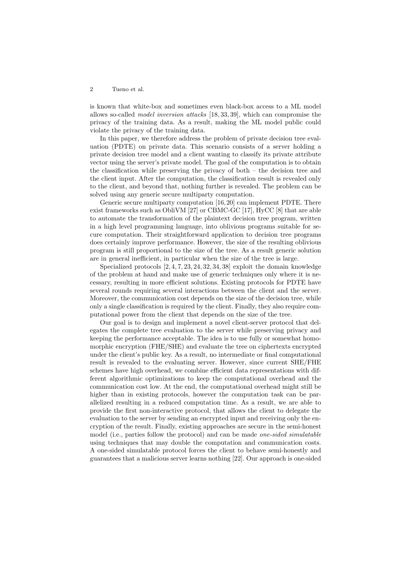is known that white-box and sometimes even black-box access to a ML model allows so-called model inversion attacks [18, 33, 39], which can compromise the privacy of the training data. As a result, making the ML model public could violate the privacy of the training data.

In this paper, we therefore address the problem of private decision tree evaluation (PDTE) on private data. This scenario consists of a server holding a private decision tree model and a client wanting to classify its private attribute vector using the server's private model. The goal of the computation is to obtain the classification while preserving the privacy of both – the decision tree and the client input. After the computation, the classification result is revealed only to the client, and beyond that, nothing further is revealed. The problem can be solved using any generic secure multiparty computation.

Generic secure multiparty computation [16,20] can implement PDTE. There exist frameworks such as ObliVM [27] or CBMC-GC [17], HyCC [8] that are able to automate the transformation of the plaintext decision tree program, written in a high level programming language, into oblivious programs suitable for secure computation. Their straightforward application to decision tree programs does certainly improve performance. However, the size of the resulting oblivious program is still proportional to the size of the tree. As a result generic solution are in general inefficient, in particular when the size of the tree is large.

Specialized protocols [2, 4, 7, 23, 24, 32, 34, 38] exploit the domain knowledge of the problem at hand and make use of generic techniques only where it is necessary, resulting in more efficient solutions. Existing protocols for PDTE have several rounds requiring several interactions between the client and the server. Moreover, the communication cost depends on the size of the decision tree, while only a single classification is required by the client. Finally, they also require computational power from the client that depends on the size of the tree.

Our goal is to design and implement a novel client-server protocol that delegates the complete tree evaluation to the server while preserving privacy and keeping the performance acceptable. The idea is to use fully or somewhat homomorphic encryption (FHE/SHE) and evaluate the tree on ciphertexts encrypted under the client's public key. As a result, no intermediate or final computational result is revealed to the evaluating server. However, since current SHE/FHE schemes have high overhead, we combine efficient data representations with different algorithmic optimizations to keep the computational overhead and the communication cost low. At the end, the computational overhead might still be higher than in existing protocols, however the computation task can be parallelized resulting in a reduced computation time. As a result, we are able to provide the first non-interactive protocol, that allows the client to delegate the evaluation to the server by sending an encrypted input and receiving only the encryption of the result. Finally, existing approaches are secure in the semi-honest model (i.e., parties follow the protocol) and can be made *one-sided simulatable* using techniques that may double the computation and communication costs. A one-sided simulatable protocol forces the client to behave semi-honestly and guarantees that a malicious server learns nothing [22]. Our approach is one-sided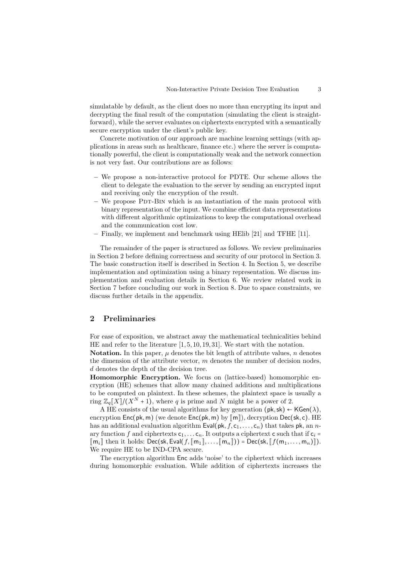simulatable by default, as the client does no more than encrypting its input and decrypting the final result of the computation (simulating the client is straightforward), while the server evaluates on ciphertexts encrypted with a semantically secure encryption under the client's public key.

Concrete motivation of our approach are machine learning settings (with applications in areas such as healthcare, finance etc.) where the server is computationally powerful, the client is computationally weak and the network connection is not very fast. Our contributions are as follows:

- We propose a non-interactive protocol for PDTE. Our scheme allows the client to delegate the evaluation to the server by sending an encrypted input and receiving only the encryption of the result.
- We propose PDT-BIN which is an instantiation of the main protocol with binary representation of the input. We combine efficient data representations with different algorithmic optimizations to keep the computational overhead and the communication cost low.
- Finally, we implement and benchmark using HElib [21] and TFHE [11].

The remainder of the paper is structured as follows. We review preliminaries in Section 2 before defining correctness and security of our protocol in Section 3. The basic construction itself is described in Section 4. In Section 5, we describe implementation and optimization using a binary representation. We discuss implementation and evaluation details in Section 6. We review related work in Section 7 before concluding our work in Section 8. Due to space constraints, we discuss further details in the appendix.

## 2 Preliminaries

For ease of exposition, we abstract away the mathematical technicalities behind HE and refer to the literature [1, 5, 10, 19, 31]. We start with the notation.

**Notation.** In this paper,  $\mu$  denotes the bit length of attribute values,  $n$  denotes the dimension of the attribute vector,  $m$  denotes the number of decision nodes, d denotes the depth of the decision tree.

Homomorphic Encryption. We focus on (lattice-based) homomorphic encryption (HE) schemes that allow many chained additions and multiplications to be computed on plaintext. In these schemes, the plaintext space is usually a ring  $\mathbb{Z}_q[X]/(X^N + 1)$ , where q is prime and N might be a power of 2.

A HE consists of the usual algorithms for key generation  $(\mathsf{pk}, \mathsf{sk}) \leftarrow \mathsf{KGen}(\lambda)$ , encryption  $Enc(\mathsf{pk}, \mathsf{m})$  (we denote  $Enc(\mathsf{pk}, \mathsf{m})$  by  $[\![\mathsf{m}]\!]$ ), decryption  $Dec(\mathsf{sk}, \mathsf{c})$ . HE has an additional evaluation algorithm  $\textsf{Eval}(\textsf{pk}, f, \textsf{c}_1, \ldots, \textsf{c}_n)$  that takes pk, an nary function f and ciphertexts  $c_1, \ldots, c_n$ . It outputs a ciphertext c such that if  $c_i =$  $\llbracket m_i \rrbracket$  then it holds: Dec(sk, Eval(f,  $\llbracket m_1 \rrbracket$ ,...,  $\llbracket m_n \rrbracket$ )) = Dec(sk,  $\llbracket f(m_1, \ldots, m_n) \rrbracket$ ). We require HE to be IND-CPA secure.

The encryption algorithm Enc adds 'noise' to the ciphertext which increases during homomorphic evaluation. While addition of ciphertexts increases the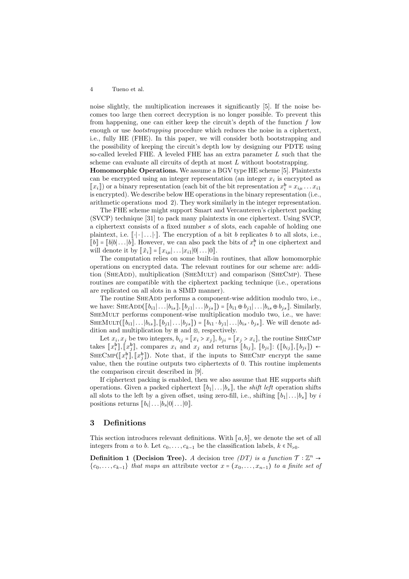noise slightly, the multiplication increases it significantly [5]. If the noise becomes too large then correct decryption is no longer possible. To prevent this from happening, one can either keep the circuit's depth of the function  $f$  low enough or use bootstrapping procedure which reduces the noise in a ciphertext, i.e., fully HE (FHE). In this paper, we will consider both bootstrapping and the possibility of keeping the circuit's depth low by designing our PDTE using so-called leveled FHE. A leveled FHE has an extra parameter L such that the scheme can evaluate all circuits of depth at most  $L$  without bootstrapping.

Homomorphic Operations. We assume a BGV type HE scheme [5]. Plaintexts can be encrypted using an integer representation (an integer  $x_i$  is encrypted as  $[x_i]$ ) or a binary representation (each bit of the bit representation  $x_i^b = x_{i\mu} \dots x_{i1}$ is encrypted). We describe below HE operations in the binary representation (i.e., arithmetic operations mod 2). They work similarly in the integer representation.

The FHE scheme might support Smart and Vercauteren's ciphertext packing (SVCP) technique [31] to pack many plaintexts in one ciphertext. Using SVCP, a ciphertext consists of a fixed number s of slots, each capable of holding one plaintext, i.e.  $\lbrack \cdot \rbrack \cdot \ldots \rbrack \cdot \rbrack$ . The encryption of a bit b replicates b to all slots, i.e.,  $[[b]] = [[b]b] \dots [b]$ . However, we can also pack the bits of  $x_i^b$  in one ciphertext and will denote it by  $\lbrack \lbrack \vec{x}_i \rbrack \rbrack = \lbrack \lbrack x_{i\mu} \rbrack \ldots \lbrack x_{i1} \rbrack 0 \rbrack \ldots \rbrack 0 \rbrack.$ 

The computation relies on some built-in routines, that allow homomorphic operations on encrypted data. The relevant routines for our scheme are: addition (SHEADD), multiplication (SHEMULT) and comparison (SHECMP). These routines are compatible with the ciphertext packing technique (i.e., operations are replicated on all slots in a SIMD manner).

The routine SHEADD performs a component-wise addition modulo two, i.e., we have: SHEADD( $[[b_{i1} | \dots | b_{is} ], [b_{j1} | \dots | b_{js} ]\$ ) =  $[[b_{i1} \oplus b_{j1} | \dots | b_{is} \oplus b_{js} ]$ . Similarly, SheMult performs component-wise multiplication modulo two, i.e., we have: SHEMULT $(\llbracket b_{i1} \ldots \llbracket b_{is} \rrbracket, \llbracket b_{j1} \ldots \llbracket b_{is} \rrbracket) = \llbracket b_{i1} \cdot b_{j1} \ldots \llbracket b_{is} \cdot b_{js} \rrbracket$ . We will denote addition and multiplication by ⊞ and ⊡, respectively.

Let  $x_i, x_j$  be two integers,  $b_{ij} = [x_i > x_j]$ ,  $b_{ji} = [x_j > x_i]$ , the routine SHECMP takes  $[x_i^b], [x_j^b],$  compares  $x_i$  and  $x_j$  and returns  $[b_{ij}], [b_{ji}]: ([b_{ij}], [b_{ji}]) \leftarrow$ SHECMP( $[x_i^b], [x_j^b]$ ). Note that, if the inputs to SHECMP encrypt the same value, then the routine outputs two ciphertexts of 0. This routine implements the comparison circuit described in [9].

If ciphertext packing is enabled, then we also assume that HE supports shift operations. Given a packed ciphertext  $[[b_1] \dots [b_s]]$ , the *shift left* operation shifts all slots to the left by a given offset, using zero-fill, i.e., shifting  $[[b_1] \dots [b_s]]$  by i positions returns  $[[b_i|\dots|b_s|0|\dots|0]].$ 

## 3 Definitions

This section introduces relevant definitions. With  $[a, b]$ , we denote the set of all integers from a to b. Let  $c_0, \ldots, c_{k-1}$  be the classification labels,  $k \in \mathbb{N}_{>0}$ .

**Definition 1** (Decision Tree). A decision tree (DT) is a function  $\mathcal{T} : \mathbb{Z}^n \to$  ${c_0, \ldots, c_{k-1}}$  that maps an attribute vector  $x = (x_0, \ldots, x_{n-1})$  to a finite set of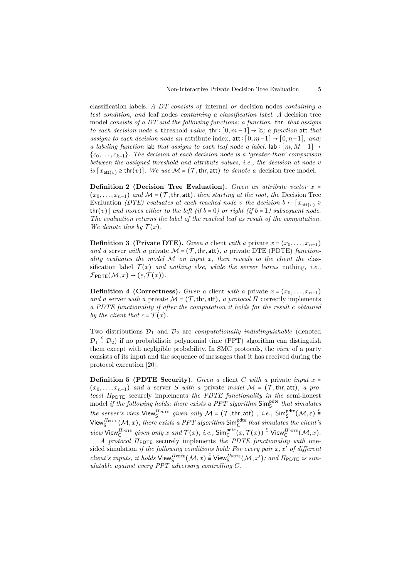classification labels. A DT consists of internal or decision nodes containing a test condition, and leaf nodes containing a classification label. A decision tree model consists of a DT and the following functions: a function the that assigns to each decision node a threshold value, thr :  $[0, m-1] \rightarrow \mathbb{Z}$ ; a function att that assigns to each decision node an attribute index, att:  $[0, m-1] \rightarrow [0, n-1]$ , and; a labeling function lab that assigns to each leaf node a label,  $\vert$ ab :  $\vert m, M - 1 \vert$  →  ${c_0, \ldots, c_{k-1}}$ . The decision at each decision node is a 'greater-than' comparison between the assigned threshold and attribute values, i.e., the decision at node v is  $[x_{\text{att}(v)} \ge \text{thr}(v)]$ . We use  $\mathcal{M} = (\mathcal{T}, \text{thr}, \text{att})$  to denote a decision tree model.

Definition 2 (Decision Tree Evaluation). Given an attribute vector  $x =$  $(x_0, \ldots, x_{n-1})$  and  $\mathcal{M} = (\mathcal{T}, \text{thr}, \text{att}),$  then starting at the root, the Decision Tree Evaluation (DTE) evaluates at each reached node v the decision  $b \leftarrow [x_{\text{att}(v)}]$ thr(v)] and moves either to the left (if  $b = 0$ ) or right (if  $b = 1$ ) subsequent node. The evaluation returns the label of the reached leaf as result of the computation. We denote this by  $\mathcal{T}(x)$ .

**Definition 3 (Private DTE).** Given a client with a private  $x = (x_0, \ldots, x_{n-1})$ and a server with a private  $\mathcal{M} = (\mathcal{T}, \text{thr}, \text{att})$ , a private DTE (PDTE) functionality evaluates the model  $M$  on input  $x$ , then reveals to the client the classification label  $\mathcal{T}(x)$  and nothing else, while the server learns nothing, i.e.,  $\mathcal{F}_{\text{PDTE}}(\mathcal{M}, x) \rightarrow (\varepsilon, \mathcal{T}(x)).$ 

**Definition 4 (Correctness).** Given a client with a private  $x = (x_0, \ldots, x_{n-1})$ and a server with a private  $M = (T, \text{thr}, \text{att})$ , a protocol  $\Pi$  correctly implements a PDTE functionality if after the computation it holds for the result c obtained by the client that  $c = \mathcal{T}(x)$ .

Two distributions  $\mathcal{D}_1$  and  $\mathcal{D}_2$  are *computationally indistinguishable* (denoted  $\mathcal{D}_1 \stackrel{c}{\equiv} \mathcal{D}_2$ ) if no probabilistic polynomial time (PPT) algorithm can distinguish them except with negligible probability. In SMC protocols, the view of a party consists of its input and the sequence of messages that it has received during the protocol execution [20].

**Definition 5 (PDTE Security).** Given a client C with a private input  $x =$  $(x_0, \ldots, x_{n-1})$  and a server S with a private model  $\mathcal{M} = (\mathcal{T}, \text{thr}, \text{att})$ , a protocol  $\Pi_{\mathsf{PDTE}}$  securely implements the PDTE functionality in the semi-honest model if the following holds: there exists a PPT algorithm  $\mathsf{Sim}^\mathsf{pdte}_\mathsf{S}$  that simulates the server's view  $\mathsf{View}_{\mathsf{S}}^{H_{\text{PDTE}}}$  given only  $\mathcal{M} = (\mathcal{T}, \text{thr}, \text{att})$ , i.e.,  $\mathsf{Sim}_{\mathsf{S}}^{\text{pdte}}(\mathcal{M}, \varepsilon) \stackrel{\varepsilon}{=}$ View<sub>S</sub><sup> $\Pi_{\text{PDF}}(M, x)$ ; there exists a PPT algorithm  $\text{Sim}_{\text{C}}^{\text{pdte}}$  that simulates the client's</sup> view View $_{\mathsf{C}}^{H_{\text{PDTE}}}$  given only  $x$  and  $\mathcal{T}(x)$ , i.e.,  $\mathsf{Sim}_{\mathsf{C}}^{\mathsf{pdte}}(x,\mathcal{T}(x)) \stackrel{c}{=} \mathsf{View}_{\mathsf{C}}^{H_{\text{PDTE}}}(\mathcal{M},x)$ .

A protocol  $\Pi_{\text{PDTE}}$  securely implements the PDTE functionality with onesided simulation if the following conditions hold: For every pair  $x, x'$  of different client's inputs, it holds  $\mathsf{View}^{\Pi_{\mathsf{PDTE}}}_\mathsf{S}(\mathcal{M},x) \stackrel{\text{\tiny\it G}}{=} \mathsf{View}^{\Pi_{\mathsf{PDTE}}}_\mathsf{S}(\mathcal{M},x')$ ; and  $\Pi_{\mathsf{PDTE}}$  is simulatable against every PPT adversary controlling C.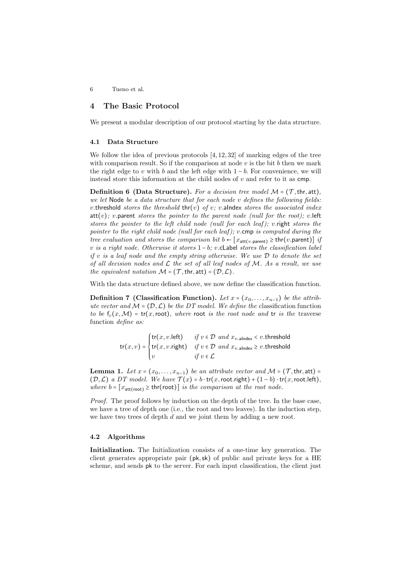# 4 The Basic Protocol

We present a modular description of our protocol starting by the data structure.

#### 4.1 Data Structure

We follow the idea of previous protocols [4, 12, 32] of marking edges of the tree with comparison result. So if the comparison at node  $v$  is the bit  $b$  then we mark the right edge to v with b and the left edge with  $1 - b$ . For convenience, we will instead store this information at the child nodes of  $v$  and refer to it as cmp.

**Definition 6 (Data Structure).** For a decision tree model  $M = (T, \text{thr}, \text{att})$ , we let  $\mathsf{Node}\;$  be a data structure that for each node v defines the following fields: v.threshold stores the threshold thr(v) of v; v.alndex stores the associated index  $att(v);$  v.parent stores the pointer to the parent node (null for the root); v. left stores the pointer to the left child node (null for each leaf); v.right stores the pointer to the right child node (null for each leaf);  $v$ .cmp is computed during the tree evaluation and stores the comparison bit  $b \leftarrow [x_{\text{att}(v,\text{parent})} \ge \text{thr}(v,\text{parent})]$  if v is a right node. Otherwise it stores  $1-b$ ; v.cLabel stores the classification label if  $v$  is a leaf node and the empty string otherwise. We use  $\mathcal D$  to denote the set of all decision nodes and  $\mathcal L$  the set of all leaf nodes of  $\mathcal M$ . As a result, we use the equivalent notation  $\mathcal{M} = (\mathcal{T}, \text{thr}, \text{att}) = (\mathcal{D}, \mathcal{L})$ .

With the data structure defined above, we now define the classification function.

Definition 7 (Classification Function). Let  $x = (x_0, \ldots, x_{n-1})$  be the attribute vector and  $\mathcal{M} = (\mathcal{D}, \mathcal{L})$  be the DT model. We define the classification function to be  $f_c(x, \mathcal{M}) = \text{tr}(x, \text{root})$ , where root is the root node and tr is the traverse function define as:

> $tr(x, v) = \begin{cases}$ tr $(x, v.\mathsf{left})$  if  $v \in \mathcal{D}$  and  $x_{v.\mathsf{alndex}} < v.\mathsf{threshold}$ tr $(x, v.\mathsf{right})$  if  $v \in \mathcal{D}$  and  $x_{v.\mathsf{alndex}} \geq v.\mathsf{threshold}$ v if  $v \in \mathcal{L}$

**Lemma 1.** Let  $x = (x_0, \ldots, x_{n-1})$  be an attribute vector and  $M = (\mathcal{T}, \text{thr}, \text{att}) =$  $(\mathcal{D}, \mathcal{L})$  a DT model. We have  $\mathcal{T}(x) = b \cdot \text{tr}(x, \text{root.right}) + (1 - b) \cdot \text{tr}(x, \text{root.left}),$ where  $b = [x_{\text{att(root)}} \ge \text{thr(root)}]$  is the comparison at the root node.

Proof. The proof follows by induction on the depth of the tree. In the base case, we have a tree of depth one (i.e., the root and two leaves). In the induction step, we have two trees of depth d and we joint them by adding a new root.

#### 4.2 Algorithms

Initialization. The Initialization consists of a one-time key generation. The client generates appropriate pair (pk,sk) of public and private keys for a HE scheme, and sends pk to the server. For each input classification, the client just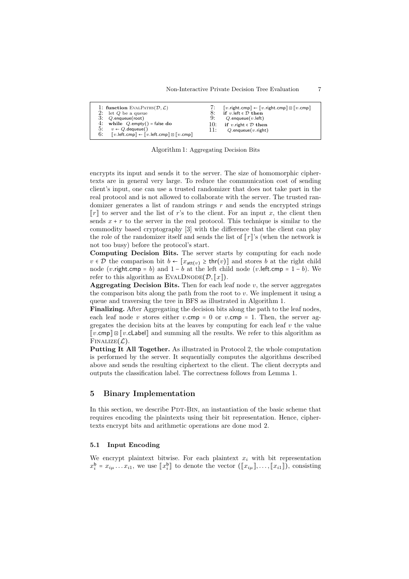Algorithm 1: Aggregating Decision Bits

encrypts its input and sends it to the server. The size of homomorphic ciphertexts are in general very large. To reduce the communication cost of sending client's input, one can use a trusted randomizer that does not take part in the real protocol and is not allowed to collaborate with the server. The trusted randomizer generates a list of random strings  $r$  and sends the encrypted strings  $\llbracket r \rrbracket$  to server and the list of r's to the client. For an input x, the client then sends  $x + r$  to the server in the real protocol. This technique is similar to the commodity based cryptography [3] with the difference that the client can play the role of the randomizer itself and sends the list of  $\llbracket r \rrbracket$ 's (when the network is not too busy) before the protocol's start.

Computing Decision Bits. The server starts by computing for each node  $v \in \mathcal{D}$  the comparison bit  $b \leftarrow [x_{\text{att}(v)} \geq \text{thr}(v)]$  and stores b at the right child node (v.right.cmp = b) and  $1 - b$  at the left child node (v.left.cmp =  $1 - b$ ). We refer to this algorithm as EVALDNODE $(\mathcal{D}, \llbracket x \rrbracket)$ .

**Aggregating Decision Bits.** Then for each leaf node v, the server aggregates the comparison bits along the path from the root to  $v$ . We implement it using a queue and traversing the tree in BFS as illustrated in Algorithm 1.

Finalizing. After Aggregating the decision bits along the path to the leaf nodes, each leaf node v stores either v.cmp = 0 or v.cmp = 1. Then, the server aggregates the decision bits at the leaves by computing for each leaf  $v$  the value  $\llbracket v \cdot \text{cmp} \rrbracket \sqsupset \llbracket v \cdot \text{ch} \rrbracket$  and summing all the results. We refer to this algorithm as  $\text{FINALIZE}(\mathcal{L}).$ 

Putting It All Together. As illustrated in Protocol 2, the whole computation is performed by the server. It sequentially computes the algorithms described above and sends the resulting ciphertext to the client. The client decrypts and outputs the classification label. The correctness follows from Lemma 1.

#### 5 Binary Implementation

In this section, we describe PDT-BIN, an instantiation of the basic scheme that requires encoding the plaintexts using their bit representation. Hence, ciphertexts encrypt bits and arithmetic operations are done mod 2.

#### 5.1 Input Encoding

We encrypt plaintext bitwise. For each plaintext  $x_i$  with bit representation  $x_i^b = x_{i\mu} \dots x_{i1}$ , we use  $\llbracket x_i^b \rrbracket$  to denote the vector  $(\llbracket x_{i\mu} \rrbracket, \dots, \llbracket x_{i1} \rrbracket)$ , consisting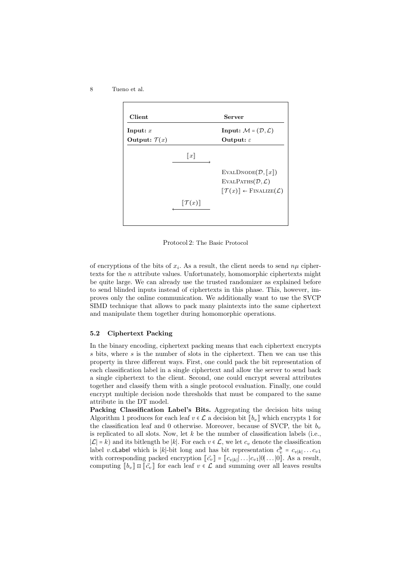

Protocol 2: The Basic Protocol

of encryptions of the bits of  $x_i$ . As a result, the client needs to send  $n\mu$  ciphertexts for the  $n$  attribute values. Unfortunately, homomorphic ciphertexts might be quite large. We can already use the trusted randomizer as explained before to send blinded inputs instead of ciphertexts in this phase. This, however, improves only the online communication. We additionally want to use the SVCP SIMD technique that allows to pack many plaintexts into the same ciphertext and manipulate them together during homomorphic operations.

#### 5.2 Ciphertext Packing

In the binary encoding, ciphertext packing means that each ciphertext encrypts s bits, where s is the number of slots in the ciphertext. Then we can use this property in three different ways. First, one could pack the bit representation of each classification label in a single ciphertext and allow the server to send back a single ciphertext to the client. Second, one could encrypt several attributes together and classify them with a single protocol evaluation. Finally, one could encrypt multiple decision node thresholds that must be compared to the same attribute in the DT model.

Packing Classification Label's Bits. Aggregating the decision bits using Algorithm 1 produces for each leaf  $v \in \mathcal{L}$  a decision bit  $[[b_{v}]]$  which encrypts 1 for the classification leaf and 0 otherwise. Moreover, because of SVCP, the bit  $b_v$ is replicated to all slots. Now, let  $k$  be the number of classification labels (i.e.,  $|\mathcal{L}| = k$ ) and its bitlength be |k|. For each  $v \in \mathcal{L}$ , we let  $c_v$  denote the classification label v.cLabel which is |k|-bit long and has bit representation  $c_v^b = c_{v|k|} \dots c_{v1}$ with corresponding packed encryption  $[\![\vec{c}_v]\!] = [\![c_{v|k}]\!|\dots|\!c_{v1}\!|0]\dots|0\]$ . As a result, computing  $[[b_v]] \square [\vec{c}_v]]$  for each leaf  $v \in \mathcal{L}$  and summing over all leaves results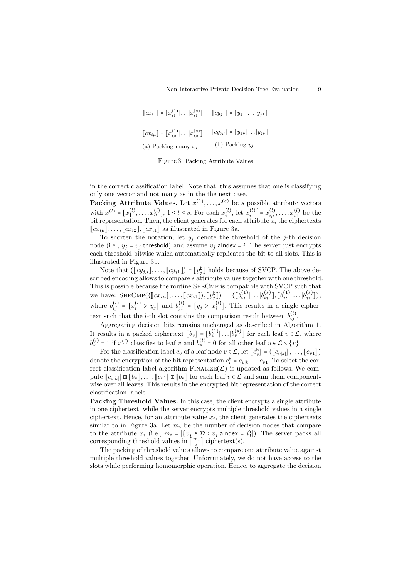$$
\begin{bmatrix} cx_{i1} \end{bmatrix} = \begin{bmatrix} x_{i1}^{(1)} \end{bmatrix} \dots \begin{bmatrix} x_{i1}^{(s)} \end{bmatrix} \qquad \begin{bmatrix} cy_{j1} \end{bmatrix} = \begin{bmatrix} y_{j1} \end{bmatrix} \dots \begin{bmatrix} y_{j1} \end{bmatrix}
$$

$$
\dots
$$

$$
\begin{bmatrix} cx_{i\mu} \end{bmatrix} = \begin{bmatrix} x_{i\mu}^{(1)} \end{bmatrix} \dots \begin{bmatrix} x_{i\mu}^{(s)} \end{bmatrix} \qquad \begin{bmatrix} cy_{j\mu} \end{bmatrix} = \begin{bmatrix} y_{j\mu} \end{bmatrix} \dots \begin{bmatrix} y_{j\mu} \end{bmatrix}
$$

$$
(a) Packing many x_i \qquad (b) Packing y_j
$$

Figure 3: Packing Attribute Values

in the correct classification label. Note that, this assumes that one is classifying only one vector and not many as in the the next case.

**Packing Attribute Values.** Let  $x^{(1)}, \ldots, x^{(s)}$  be s possible attribute vectors with  $x^{(l)} = [x_1^{(l)}, \ldots, x_n^{(l)}], 1 \le l \le s$ . For each  $x_i^{(l)}$ , let  $x_i^{(l)}$  $\left(\begin{matrix}l\\i\end{matrix}\right)^{\circ} = x_{i\mu}^{(l)}, \ldots, x_{i1}^{(l)}$  be the bit representation. Then, the client generates for each attribute  $x_i$  the ciphertexts  $[[cx_{i\mu}]]\ldots, [cx_{i2}]]\ldots$  as illustrated in Figure 3a.

To shorten the notation, let  $y_i$  denote the threshold of the j-th decision node (i.e.,  $y_i = v_j$  threshold) and assume  $v_j$  alndex = i. The server just encrypts each threshold bitwise which automatically replicates the bit to all slots. This is illustrated in Figure 3b.

Note that  $(\llbracket cy_{j\mu} \rrbracket, \ldots, \llbracket cy_{j1} \rrbracket) = \llbracket y_j^b \rrbracket$  holds because of SVCP. The above described encoding allows to compare  $s$  attribute values together with one threshold. This is possible because the routine SheCmp is compatible with SVCP such that we have:  $\text{SHECMP}(([[cx_{i\mu}],..., [cx_{i1}]), [y_j^b]]) = ([b_{ij}^{(1)}]...|b_{ij}^{(s)}], [b_{ji}^{(1)}]...|b_{ji}^{(s)}]),$ where  $b_{ij}^{(l)} = [x_i^{(l)} > y_j]$  and  $b_{ji}^{(l)} = [y_j > x_i^{(l)}]$ . This results in a single ciphertext such that the *l*-th slot contains the comparison result between  $b_{ij}^{(l)}$ .

Aggregating decision bits remains unchanged as described in Algorithm 1. It results in a packed ciphertext  $[b_v] = [b_v^{(1)}] \dots [b_v^{(s)}]$  for each leaf  $v \in \mathcal{L}$ , where  $b_v^{(l)} = 1$  if  $x^{(l)}$  classifies to leaf v and  $b_u^{(l)} = 0$  for all other leaf  $u \in \mathcal{L} \setminus \{v\}.$ 

For the classification label  $c_v$  of a leaf node  $v \in \mathcal{L}$ , let  $[[c_v^{\mathbf{b}}] = (\llbracket c_{v|k} \rrbracket, \ldots, \llbracket c_{v1} \rrbracket)$ denote the encryption of the bit representation  $c_v^b = c_{v|k|} \dots c_{v1}$ . To select the correct classification label algorithm  $\text{FinALIZE}(\mathcal{L})$  is updated as follows. We compute  $[\![c_{v|k}]\!] \sqcup [\![b_v]\!], \ldots, [\![c_{v1}]\!] \sqcup [\![b_v]\!]$  for each leaf  $v \in \mathcal{L}$  and sum them componentwise over all leaves. This results in the encrypted bit representation of the correct classification labels.

Packing Threshold Values. In this case, the client encrypts a single attribute in one ciphertext, while the server encrypts multiple threshold values in a single ciphertext. Hence, for an attribute value  $x_i$ , the client generates the ciphertexts similar to in Figure 3a. Let  $m_i$  be the number of decision nodes that compare to the attribute x<sup>i</sup> (i.e., m<sup>i</sup> = ∣{v<sup>j</sup> ∈ D ∶ v<sup>j</sup> .aIndex = i}∣). The server packs all corresponding threshold values in  $\left\lceil \frac{m_i}{s} \right\rceil$  ciphertext(s).

The packing of threshold values allows to compare one attribute value against multiple threshold values together. Unfortunately, we do not have access to the slots while performing homomorphic operation. Hence, to aggregate the decision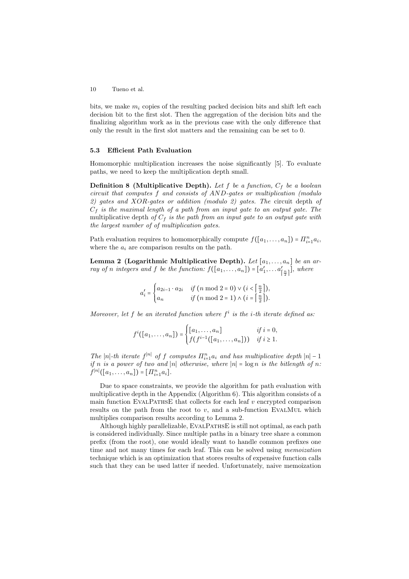bits, we make  $m_i$  copies of the resulting packed decision bits and shift left each decision bit to the first slot. Then the aggregation of the decision bits and the finalizing algorithm work as in the previous case with the only difference that only the result in the first slot matters and the remaining can be set to 0.

#### 5.3 Efficient Path Evaluation

Homomorphic multiplication increases the noise significantly [5]. To evaluate paths, we need to keep the multiplication depth small.

**Definition 8 (Multiplicative Depth).** Let  $f$  be a function,  $C_f$  be a boolean circuit that computes f and consists of AND-gates or multiplication (modulo 2) gates and XOR-gates or addition (modulo 2) gates. The circuit depth of  $C_f$  is the maximal length of a path from an input gate to an output gate. The multiplicative depth of  $C_f$  is the path from an input gate to an output gate with the largest number of of multiplication gates.

Path evaluation requires to homomorphically compute  $f([a_1, \ldots, a_n]) = \prod_{i=1}^n a_i$ , where the  $a_i$  are comparison results on the path.

Lemma 2 (Logarithmic Multiplicative Depth). Let  $[a_1, \ldots, a_n]$  be an array of n integers and f be the function:  $f([a_1, ..., a_n]) = [a'_1, ..., a'_{\lfloor \frac{n}{2} \rfloor}],$  where

$$
a'_{i} = \begin{cases} a_{2i-1} \cdot a_{2i} & \text{if } (n \mod 2 = 0) \vee (i < \left\lceil \frac{n}{2} \right\rceil), \\ a_n & \text{if } (n \mod 2 = 1) \wedge (i = \left\lceil \frac{n}{2} \right\rceil). \end{cases}
$$

Moreover, let f be an iterated function where  $f^i$  is the *i*-th iterate defined as:

$$
f^{i}([a_1,\ldots,a_n]) = \begin{cases} [a_1,\ldots,a_n] & \text{if } i = 0, \\ f(f^{i-1}([a_1,\ldots,a_n])) & \text{if } i \geq 1. \end{cases}
$$

The |n|-th iterate  $f^{[n]}$  of f computes  $\Pi_{i=1}^n a_i$  and has multiplicative depth  $|n|-1$ if n is a power of two and |n| otherwise, where  $|n| = \log n$  is the bitlength of n:  $f^{|n|}([a_1,\ldots,a_n]) = [I_{i=1}^n a_i].$ 

Due to space constraints, we provide the algorithm for path evaluation with multiplicative depth in the Appendix (Algorithm  $6$ ). This algorithm consists of a main function EVALPATHSE that collects for each leaf  $v$  encrypted comparison results on the path from the root to  $v$ , and a sub-function EVALMUL which multiplies comparison results according to Lemma 2.

Although highly parallelizable, EvalPathsE is still not optimal, as each path is considered individually. Since multiple paths in a binary tree share a common prefix (from the root), one would ideally want to handle common prefixes one time and not many times for each leaf. This can be solved using *memoization* technique which is an optimization that stores results of expensive function calls such that they can be used latter if needed. Unfortunately, naive memoization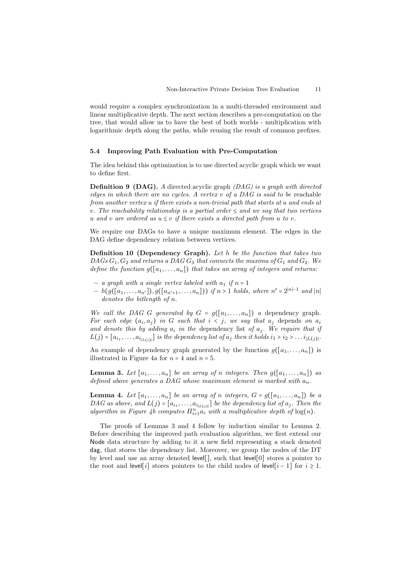would require a complex synchronization in a multi-threaded environment and linear multiplicative depth. The next section describes a pre-computation on the tree, that would allow us to have the best of both worlds - multiplication with logarithmic depth along the paths, while reusing the result of common prefixes.

#### 5.4 Improving Path Evaluation with Pre-Computation

The idea behind this optimization is to use directed acyclic graph which we want to define first.

**Definition 9 (DAG).** A directed acyclic graph  $(DAG)$  is a graph with directed edges in which there are no cycles. A vertex  $v$  of a DAG is said to be reachable from another vertex u if there exists a non-trivial path that starts at u and ends at v. The reachability relationship is a partial order  $\leq$  and we say that two vertices u and v are ordered as  $u \leq v$  if there exists a directed path from u to v.

We require our DAGs to have a unique maximum element. The edges in the DAG define dependency relation between vertices.

**Definition 10 (Dependency Graph).** Let  $h$  be the function that takes two  $DAGs \, G_1, G_2$  and returns a  $DAG \, G_3$  that connects the maxima of  $G_1$  and  $G_2$ . We define the function  $g([a_1, \ldots, a_n])$  that takes an array of integers and returns:

- a graph with a single vertex labeled with  $a_1$  if  $n = 1$
- $h(g([a_1, \ldots, a_{n'}]), g([a_{n'+1}, \ldots, a_n]))$  if  $n > 1$  holds, where  $n' = 2^{|n|-1}$  and  $|n|$ denotes the bitlength of  $n$ .

We call the DAG G generated by  $G = g([a_1, \ldots, a_n])$  a dependency graph. For each edge  $(a_i, a_j)$  in G such that  $i < j$ , we say that  $a_j$  depends on  $a_i$ and denote this by adding  $a_i$  in the dependency list of  $a_j$ . We require that if  $L(j) = [a_{i_1}, \ldots, a_{i_{|L(j)|}}]$  is the dependency list of  $a_j$  then it holds  $i_1 > i_2 > \ldots i_{|L(j)|}$ .

An example of dependency graph generated by the function  $g([a_1, \ldots, a_n])$  is illustrated in Figure 4a for  $n = 4$  and  $n = 5$ .

**Lemma 3.** Let  $[a_1, \ldots, a_n]$  be an array of n integers. Then  $g([a_1, \ldots, a_n])$  as defined above generates a DAG whose maximum element is marked with  $a_n$ .

**Lemma 4.** Let  $[a_1, \ldots, a_n]$  be an array of n integers,  $G = g([a_1, \ldots, a_n])$  be a DAG as above, and  $L(j) = [a_{i_1}, \ldots, a_{i_{|L(j)|}}]$  be the dependency list of  $a_j$ . Then the algorithm in Figure 4b computes  $\Pi_{i=1}^n \widetilde{a_i}$  with a multiplicative depth of  $\log(n)$ .

The proofs of Lemmas 3 and 4 follow by induction similar to Lemma 2. Before describing the improved path evaluation algorithm, we first extend our Node data structure by adding to it a new field representing a stack denoted dag, that stores the dependency list. Moreover, we group the nodes of the DT by level and use an array denoted level[], such that level[0] stores a pointer to the root and level[i] stores pointers to the child nodes of level[i – 1] for  $i \geq 1$ .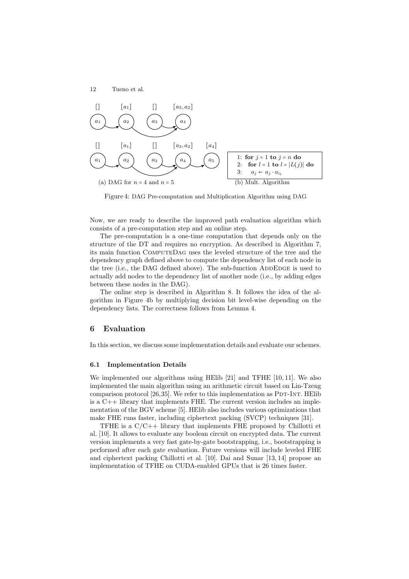

Figure 4: DAG Pre-computation and Multiplication Algorithm using DAG

Now, we are ready to describe the improved path evaluation algorithm which consists of a pre-computation step and an online step.

The pre-computation is a one-time computation that depends only on the structure of the DT and requires no encryption. As described in Algorithm 7, its main function ComputeDag uses the leveled structure of the tree and the dependency graph defined above to compute the dependency list of each node in the tree (i.e., the DAG defined above). The sub-function ADDEDGE is used to actually add nodes to the dependency list of another node (i.e., by adding edges between these nodes in the DAG).

The online step is described in Algorithm 8. It follows the idea of the algorithm in Figure 4b by multiplying decision bit level-wise depending on the dependency lists. The correctness follows from Lemma 4.

## 6 Evaluation

In this section, we discuss some implementation details and evaluate our schemes.

## 6.1 Implementation Details

We implemented our algorithms using HElib [21] and TFHE [10, 11]. We also implemented the main algorithm using an arithmetic circuit based on Lin-Tzeng comparison protocol  $[26,35]$ . We refer to this implementation as PDT-INT. HElib is a C++ library that implements FHE. The current version includes an implementation of the BGV scheme [5]. HElib also includes various optimizations that make FHE runs faster, including ciphertext packing (SVCP) techniques [31].

TFHE is a  $C/C++$  library that implements FHE proposed by Chillotti et al. [10]. It allows to evaluate any boolean circuit on encrypted data. The current version implements a very fast gate-by-gate bootstrapping, i.e., bootstrapping is performed after each gate evaluation. Future versions will include leveled FHE and ciphertext packing Chillotti et al. [10]. Dai and Sunar [13, 14] propose an implementation of TFHE on CUDA-enabled GPUs that is 26 times faster.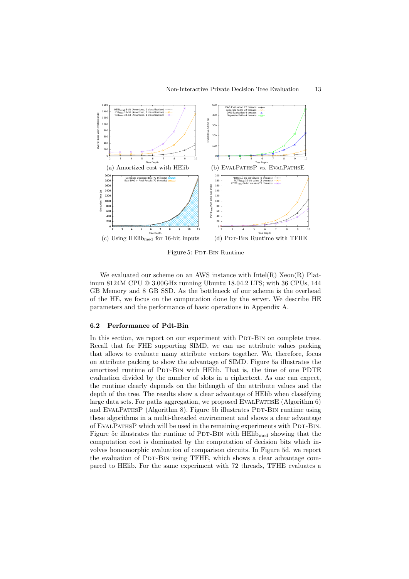

Figure 5: PDT-BIN Runtime

We evaluated our scheme on an AWS instance with  $Intel(R)$   $Xeon(R)$  Platinum 8124M CPU @ 3.00GHz running Ubuntu 18.04.2 LTS; with 36 CPUs, 144 GB Memory and 8 GB SSD. As the bottleneck of our scheme is the overhead of the HE, we focus on the computation done by the server. We describe HE parameters and the performance of basic operations in Appendix A.

#### 6.2 Performance of Pdt-Bin

In this section, we report on our experiment with PDT-BIN on complete trees. Recall that for FHE supporting SIMD, we can use attribute values packing that allows to evaluate many attribute vectors together. We, therefore, focus on attribute packing to show the advantage of SIMD. Figure 5a illustrates the amortized runtime of PDT-BIN with HElib. That is, the time of one PDTE evaluation divided by the number of slots in a ciphertext. As one can expect, the runtime clearly depends on the bitlength of the attribute values and the depth of the tree. The results show a clear advantage of HElib when classifying large data sets. For paths aggregation, we proposed  $EVALPATHSE$  (Algorithm 6) and EVALPATHSP (Algorithm 8). Figure 5b illustrates PDT-BIN runtime using these algorithms in a multi-threaded environment and shows a clear advantage of EVALPATHSP which will be used in the remaining experiments with PDT-BIN. Figure 5c illustrates the runtime of PDT-BIN with  $HElib_{med}$  showing that the computation cost is dominated by the computation of decision bits which involves homomorphic evaluation of comparison circuits. In Figure 5d, we report the evaluation of PDT-BIN using TFHE, which shows a clear advantage compared to HElib. For the same experiment with 72 threads, TFHE evaluates a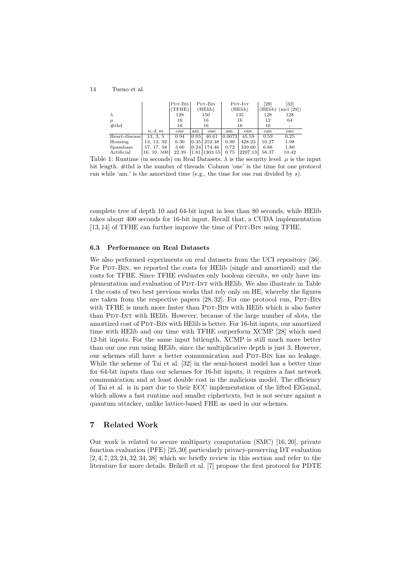|                        |                           | PDT-BIN<br>(TFHE) | PDT-BIN<br>(HElib) |                        | PDT-INT<br>(HElib) |                   | [28]<br>(HElib) | [32]<br>(mcl [29]) |
|------------------------|---------------------------|-------------------|--------------------|------------------------|--------------------|-------------------|-----------------|--------------------|
| $\lambda$              |                           | 128               |                    | 150                    |                    | 135               | 128             | 128                |
| $\mu$                  |                           | 16                |                    | 16                     |                    | 16                | 12              | 64                 |
| #thd                   |                           | 16                |                    | 16                     |                    | 16                | 16              |                    |
|                        | n, d, m                   | one               | am.                | one                    | am.                | one               | one             | one                |
| Heart-disease          | 13, 3, 5                  | 0.94              | 0.05               | 40.61                  | 0.0073             | 45.59             | 0.59            | 0.25               |
| Housing                | 13, 13, 92                | 6.30              | 0.35               | 252.38                 | 0.90               | 428.23            | 10.27           | 1.98               |
| Spambase<br>Artificial | 57, 17, 58<br>16, 10, 500 | 3.66<br>22.39     | 0.24               | 174.46<br>1.81 1303.55 | 0.72<br>0.75       | 339.60<br>2207.13 | 6.88<br>56.37   | 1.80<br>10.42      |

Table 1: Runtime (in seconds) on Real Datasets:  $\lambda$  is the security level.  $\mu$  is the input bit length. #thd is the number of threads. Column 'one' is the time for one protocol run while 'am.' is the amortized time (e.g., the time for one run divided by s).

complete tree of depth 10 and 64-bit input in less than 80 seconds, while HElib takes about 400 seconds for 16-bit input. Recall that, a CUDA implementation  $[13, 14]$  of TFHE can further improve the time of PDT-BIN using TFHE.

#### 6.3 Performance on Real Datasets

We also performed experiments on real datasets from the UCI repository [36]. For PDT-BIN, we reported the costs for HElib (single and amortized) and the costs for TFHE. Since TFHE evaluates only boolean circuits, we only have implementation and evaluation of PDT-INT with HElib. We also illustrate in Table 1 the costs of two best previous works that rely only on HE, whereby the figures are taken from the respective papers  $[28, 32]$ . For one protocol run, PDT-BIN with TFHE is much more faster than PDT-BIN with HElib which is also faster than PDT-INT with HElib. However, because of the large number of slots, the amortized cost of PDT-BIN with HElib is better. For 16-bit inputs, our amortized time with HElib and our time with TFHE outperform XCMP [28] which used 12-bit inputs. For the same input bitlength, XCMP is still much more better than our one run using HElib, since the multiplicative depth is just 3. However, our schemes still have a better communication and PDT-BIN has no leakage. While the scheme of Tai et al. [32] in the semi-honest model has a better time for 64-bit inputs than our schemes for 16-bit inputs, it requires a fast network communication and at least double cost in the malicious model. The efficiency of Tai et al. is in part due to their ECC implementation of the lifted ElGamal, which allows a fast runtime and smaller ciphertexts, but is not secure against a quantum attacker, unlike lattice-based FHE as used in our schemes.

# 7 Related Work

Our work is related to secure multiparty computation (SMC) [16, 20], private function evaluation (PFE) [25,30] particularly privacy-preserving DT evaluation  $[2, 4, 7, 23, 24, 32, 34, 38]$  which we briefly review in this section and refer to the literature for more details. Brikell et al. [7] propose the first protocol for PDTE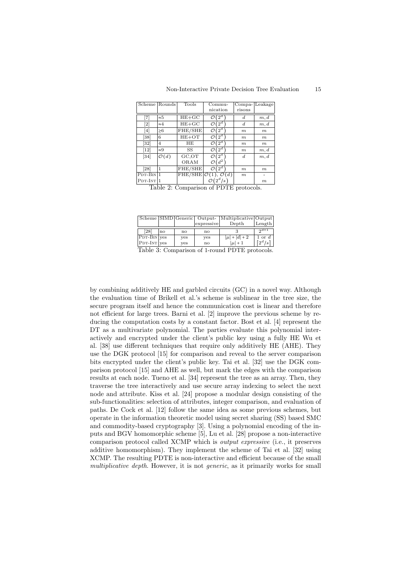|                        | Scheme Rounds    | Tools                   | $Commonu-$               |                  | Compa- Leakage   |
|------------------------|------------------|-------------------------|--------------------------|------------------|------------------|
|                        |                  |                         | nication                 | risons           |                  |
| [7]                    | $\approx 5$      | $HE+GC$                 | $2^d$                    | $\boldsymbol{d}$ | m, d             |
| [2]                    | $\approx 4$      | $HE+GC$                 | $2^d$<br>$\mathcal{O}$   | $\boldsymbol{d}$ | m, d             |
| [4]                    | >6               | FHE/SHE                 | $\cdot 2^d$<br>O         | $\boldsymbol{m}$ | $\boldsymbol{m}$ |
| [38]                   | 6                | $HE+OT$                 | $\cdot 2^d$<br>Ω         | $\boldsymbol{m}$ | $\boldsymbol{m}$ |
| [32]                   | 4                | <b>HE</b>               | $2^d$<br>Ο               | $\boldsymbol{m}$ | $\boldsymbol{m}$ |
| $[12]$                 | $\approx 9$      | SS                      | $\cdot \bar{2}^d$<br>O   | $\boldsymbol{m}$ | m, d             |
| $\left[34\right]$      | $\mathcal{O}(d)$ | GC.OT                   | $\sqrt{2}^d$<br>$\omega$ | $^{d}$           | m, d             |
|                        |                  | ORAM                    | $d^2$<br>Ο               |                  |                  |
| [28]                   | 1                | FHE/SHE                 | $2^d$<br>Ω               | $\boldsymbol{m}$ | $\boldsymbol{m}$ |
| $PDT-BIN$ <sup>1</sup> |                  | $FHE/SHE $ <sup>O</sup> | (d)<br>O                 | $\boldsymbol{m}$ |                  |
| $PDT-INT 11$           |                  |                         | $\sqrt{s}$               |                  | $\boldsymbol{m}$ |

Table 2: Comparison of PDTE protocols.

|             |    |     |            | Scheme SIMD Generic Output- Multiplicative Output |                   |
|-------------|----|-----|------------|---------------------------------------------------|-------------------|
|             |    |     | expressive | Depth                                             | Length            |
| [28]        | no | no  | no         |                                                   | $2d+1$            |
| PDT-BIN yes |    | yes | yes        | $ \mu  +  d  + 2$                                 | $1 \text{ or } d$ |
| PDT-INT yes |    | yes | no         | $ \mu +1$                                         | $12^d$ / $s^1$    |

|  | Table 3: Comparison of 1-round PDTE protocols. |  |  |  |  |
|--|------------------------------------------------|--|--|--|--|
|--|------------------------------------------------|--|--|--|--|

by combining additively HE and garbled circuits (GC) in a novel way. Although the evaluation time of Brikell et al.'s scheme is sublinear in the tree size, the secure program itself and hence the communication cost is linear and therefore not efficient for large trees. Barni et al. [2] improve the previous scheme by reducing the computation costs by a constant factor. Bost et al. [4] represent the DT as a multivariate polynomial. The parties evaluate this polynomial interactively and encrypted under the client's public key using a fully HE Wu et al. [38] use different techniques that require only additively HE (AHE). They use the DGK protocol [15] for comparison and reveal to the server comparison bits encrypted under the client's public key. Tai et al. [32] use the DGK comparison protocol [15] and AHE as well, but mark the edges with the comparison results at each node. Tueno et al. [34] represent the tree as an array. Then, they traverse the tree interactively and use secure array indexing to select the next node and attribute. Kiss et al. [24] propose a modular design consisting of the sub-functionalities: selection of attributes, integer comparison, and evaluation of paths. De Cock et al. [12] follow the same idea as some previous schemes, but operate in the information theoretic model using secret sharing (SS) based SMC and commodity-based cryptography [3]. Using a polynomial encoding of the inputs and BGV homomorphic scheme [5], Lu et al. [28] propose a non-interactive comparison protocol called XCMP which is output expressive (i.e., it preserves additive homomorphism). They implement the scheme of Tai et al. [32] using XCMP. The resulting PDTE is non-interactive and efficient because of the small multiplicative depth. However, it is not *generic*, as it primarily works for small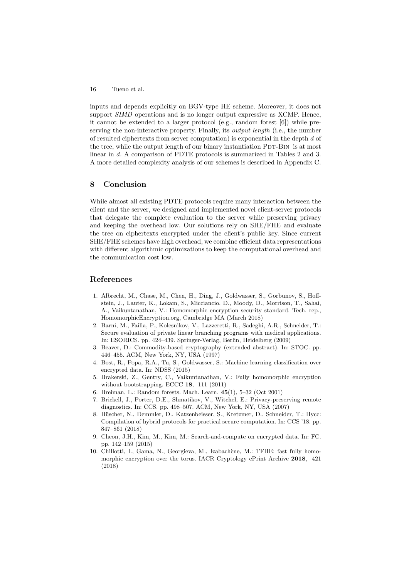inputs and depends explicitly on BGV-type HE scheme. Moreover, it does not support SIMD operations and is no longer output expressive as XCMP. Hence, it cannot be extended to a larger protocol (e.g., random forest [6]) while preserving the non-interactive property. Finally, its *output length* (i.e., the number of resulted ciphertexts from server computation) is exponential in the depth d of the tree, while the output length of our binary instantiation PDT-BIN is at most linear in d. A comparison of PDTE protocols is summarized in Tables 2 and 3. A more detailed complexity analysis of our schemes is described in Appendix C.

## 8 Conclusion

While almost all existing PDTE protocols require many interaction between the client and the server, we designed and implemented novel client-server protocols that delegate the complete evaluation to the server while preserving privacy and keeping the overhead low. Our solutions rely on SHE/FHE and evaluate the tree on ciphertexts encrypted under the client's public key. Since current SHE/FHE schemes have high overhead, we combine efficient data representations with different algorithmic optimizations to keep the computational overhead and the communication cost low.

#### References

- 1. Albrecht, M., Chase, M., Chen, H., Ding, J., Goldwasser, S., Gorbunov, S., Hoffstein, J., Lauter, K., Lokam, S., Micciancio, D., Moody, D., Morrison, T., Sahai, A., Vaikuntanathan, V.: Homomorphic encryption security standard. Tech. rep., HomomorphicEncryption.org, Cambridge MA (March 2018)
- 2. Barni, M., Failla, P., Kolesnikov, V., Lazzeretti, R., Sadeghi, A.R., Schneider, T.: Secure evaluation of private linear branching programs with medical applications. In: ESORICS. pp. 424–439. Springer-Verlag, Berlin, Heidelberg (2009)
- 3. Beaver, D.: Commodity-based cryptography (extended abstract). In: STOC. pp. 446–455. ACM, New York, NY, USA (1997)
- 4. Bost, R., Popa, R.A., Tu, S., Goldwasser, S.: Machine learning classification over encrypted data. In: NDSS (2015)
- 5. Brakerski, Z., Gentry, C., Vaikuntanathan, V.: Fully homomorphic encryption without bootstrapping. ECCC 18, 111 (2011)
- 6. Breiman, L.: Random forests. Mach. Learn. 45(1), 5–32 (Oct 2001)
- 7. Brickell, J., Porter, D.E., Shmatikov, V., Witchel, E.: Privacy-preserving remote diagnostics. In: CCS. pp. 498–507. ACM, New York, NY, USA (2007)
- 8. Büscher, N., Demmler, D., Katzenbeisser, S., Kretzmer, D., Schneider, T.: Hycc: Compilation of hybrid protocols for practical secure computation. In: CCS '18. pp. 847–861 (2018)
- 9. Cheon, J.H., Kim, M., Kim, M.: Search-and-compute on encrypted data. In: FC. pp. 142–159 (2015)
- 10. Chillotti, I., Gama, N., Georgieva, M., Izabach`ene, M.: TFHE: fast fully homomorphic encryption over the torus. IACR Cryptology ePrint Archive 2018, 421 (2018)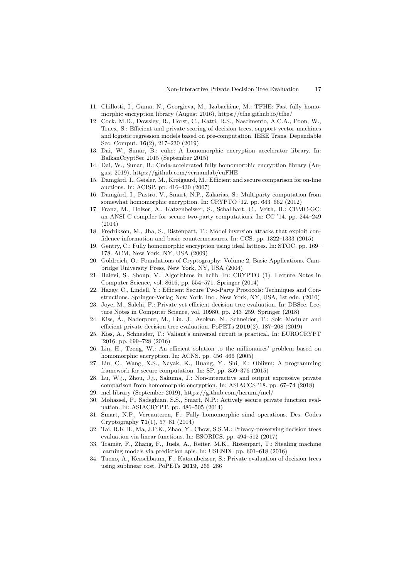- 11. Chillotti, I., Gama, N., Georgieva, M., Izabach`ene, M.: TFHE: Fast fully homomorphic encryption library (August 2016), https://tfhe.github.io/tfhe/
- 12. Cock, M.D., Dowsley, R., Horst, C., Katti, R.S., Nascimento, A.C.A., Poon, W., Truex, S.: Efficient and private scoring of decision trees, support vector machines and logistic regression models based on pre-computation. IEEE Trans. Dependable Sec. Comput. 16(2), 217–230 (2019)
- 13. Dai, W., Sunar, B.: cuhe: A homomorphic encryption accelerator library. In: BalkanCryptSec 2015 (September 2015)
- 14. Dai, W., Sunar, B.: Cuda-accelerated fully homomorphic encryption library (August 2019), https://github.com/vernamlab/cuFHE
- 15. Damgård, I., Geisler, M., Krøigaard, M.: Efficient and secure comparison for on-line auctions. In: ACISP. pp. 416–430 (2007)
- 16. Damgård, I., Pastro, V., Smart, N.P., Zakarias, S.: Multiparty computation from somewhat homomorphic encryption. In: CRYPTO '12. pp. 643–662 (2012)
- 17. Franz, M., Holzer, A., Katzenbeisser, S., Schallhart, C., Veith, H.: CBMC-GC: an ANSI C compiler for secure two-party computations. In: CC '14. pp. 244–249  $(2014)$
- 18. Fredrikson, M., Jha, S., Ristenpart, T.: Model inversion attacks that exploit confidence information and basic countermeasures. In: CCS. pp. 1322–1333 (2015)
- 19. Gentry, C.: Fully homomorphic encryption using ideal lattices. In: STOC. pp. 169– 178. ACM, New York, NY, USA (2009)
- 20. Goldreich, O.: Foundations of Cryptography: Volume 2, Basic Applications. Cambridge University Press, New York, NY, USA (2004)
- 21. Halevi, S., Shoup, V.: Algorithms in helib. In: CRYPTO (1). Lecture Notes in Computer Science, vol. 8616, pp. 554–571. Springer (2014)
- 22. Hazay, C., Lindell, Y.: Efficient Secure Two-Party Protocols: Techniques and Constructions. Springer-Verlag New York, Inc., New York, NY, USA, 1st edn. (2010)
- 23. Joye, M., Salehi, F.: Private yet efficient decision tree evaluation. In: DBSec. Lecture Notes in Computer Science, vol. 10980, pp. 243–259. Springer (2018)
- 24. Kiss, A., Naderpour, M., Liu, J., Asokan, N., Schneider, T.: Sok: Modular and ´ efficient private decision tree evaluation. PoPETs 2019(2), 187–208 (2019)
- 25. Kiss, A., Schneider, T.: Valiant's universal circuit is practical. In: EUROCRYPT '2016. pp. 699–728 (2016)
- 26. Lin, H., Tzeng, W.: An efficient solution to the millionaires' problem based on homomorphic encryption. In: ACNS. pp. 456–466 (2005)
- 27. Liu, C., Wang, X.S., Nayak, K., Huang, Y., Shi, E.: Oblivm: A programming framework for secure computation. In: SP. pp. 359–376 (2015)
- 28. Lu, W.j., Zhou, J.j., Sakuma, J.: Non-interactive and output expressive private comparison from homomorphic encryption. In: ASIACCS '18. pp. 67–74 (2018)
- 29. mcl library (September 2019), https://github.com/herumi/mcl/
- 30. Mohassel, P., Sadeghian, S.S., Smart, N.P.: Actively secure private function evaluation. In: ASIACRYPT. pp. 486–505 (2014)
- 31. Smart, N.P., Vercauteren, F.: Fully homomorphic simd operations. Des. Codes Cryptography 71(1), 57–81 (2014)
- 32. Tai, R.K.H., Ma, J.P.K., Zhao, Y., Chow, S.S.M.: Privacy-preserving decision trees evaluation via linear functions. In: ESORICS. pp. 494–512 (2017)
- 33. Tram`er, F., Zhang, F., Juels, A., Reiter, M.K., Ristenpart, T.: Stealing machine learning models via prediction apis. In: USENIX. pp. 601–618 (2016)
- 34. Tueno, A., Kerschbaum, F., Katzenbeisser, S.: Private evaluation of decision trees using sublinear cost. PoPETs 2019, 266–286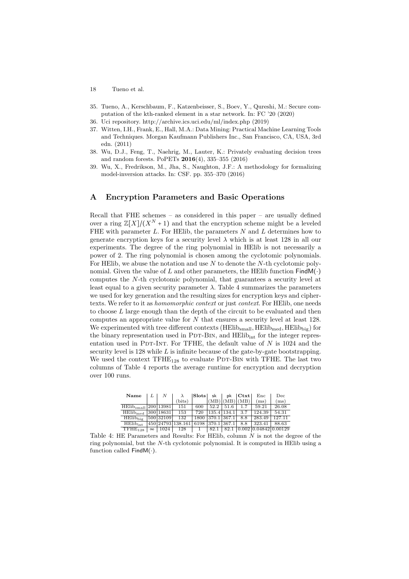- 18 Tueno et al.
- 35. Tueno, A., Kerschbaum, F., Katzenbeisser, S., Boev, Y., Qureshi, M.: Secure computation of the kth-ranked element in a star network. In: FC '20 (2020)
- 36. Uci repository. http://archive.ics.uci.edu/ml/index.php (2019)
- 37. Witten, I.H., Frank, E., Hall, M.A.: Data Mining: Practical Machine Learning Tools and Techniques. Morgan Kaufmann Publishers Inc., San Francisco, CA, USA, 3rd edn. (2011)
- 38. Wu, D.J., Feng, T., Naehrig, M., Lauter, K.: Privately evaluating decision trees and random forests. PoPETs 2016(4), 335–355 (2016)
- 39. Wu, X., Fredrikson, M., Jha, S., Naughton, J.F.: A methodology for formalizing model-inversion attacks. In: CSF. pp. 355–370 (2016)

# A Encryption Parameters and Basic Operations

Recall that FHE schemes – as considered in this paper – are usually defined over a ring  $\mathbb{Z}[X]/(X^N + 1)$  and that the encryption scheme might be a leveled FHE with parameter  $L$ . For HElib, the parameters  $N$  and  $L$  determines how to generate encryption keys for a security level  $\lambda$  which is at least 128 in all our experiments. The degree of the ring polynomial in HElib is not necessarily a power of 2. The ring polynomial is chosen among the cyclotomic polynomials. For HElib, we abuse the notation and use  $N$  to denote the  $N$ -th cyclotomic polynomial. Given the value of L and other parameters, the HElib function  $\mathsf{FindM}(\cdot)$ computes the N-th cyclotomic polynomial, that guarantees a security level at least equal to a given security parameter  $\lambda$ . Table 4 summarizes the parameters we used for key generation and the resulting sizes for encryption keys and ciphertexts. We refer to it as *homomorphic context* or just *context*. For HElib, one needs to choose L large enough than the depth of the circuit to be evaluated and then computes an appropriate value for  $N$  that ensures a security level at least 128. We experimented with tree different contexts (HElib<sub>small</sub>, HElib<sub>med</sub>, HElib<sub>big</sub>) for the binary representation used in PDT-BIN, and HElib<sub>int</sub> for the integer representation used in PDT-INT. For TFHE, the default value of  $N$  is 1024 and the security level is  $128$  while  $L$  is infinite because of the gate-by-gate bootstrapping. We used the context  $TFHE_{128}$  to evaluate PDT-BIN with TFHE. The last two columns of Table 4 reports the average runtime for encryption and decryption over 100 runs.

| $\mathbf{Name}$                           | LΙ | N               | $\lambda$                            | $ _{\text{Slots}} $ sk $ $ |                  |      | $pk$ $ $ Ctxt $ $ | Enc                                         | Dec    |
|-------------------------------------------|----|-----------------|--------------------------------------|----------------------------|------------------|------|-------------------|---------------------------------------------|--------|
|                                           |    |                 | (bits)                               |                            |                  |      | (MB) (MB) (MB)    | (ms)                                        | (ms)   |
| $HElibsmall$ 200 13981                    |    |                 | 151                                  | 600                        | 52.2             | 51.6 | 1.7               | 59.21                                       | 26.08  |
| $\overline{\text{HElib}}_{\text{med}}$    |    | 300 18631       | 153                                  | 720                        | 135.4 134.1      |      | 3.7               | 124.39                                      | 54.31  |
| $\overline{\text{HE}}$ lib <sub>big</sub> |    | 500 32109       | 132                                  |                            | 1800 370.1 367.1 |      | 8.8               | 283.49                                      | 127.11 |
| $HElib_{\rm int}$                         |    |                 | 450 24793 138.161  6198  370.1 367.1 |                            |                  |      | 8.8               | 323.41                                      | 88.63  |
| TFHE <sub>128</sub>                       |    | $\infty$   1024 | $128$   1                            |                            |                  |      |                   | $  82.1   82.1   0.002   0.04842   0.00129$ |        |

Table 4: HE Parameters and Results: For HElib, column N is not the degree of the ring polynomial, but the N-th cyclotomic polynomial. It is computed in HElib using a function called  $FindM(\cdot)$ .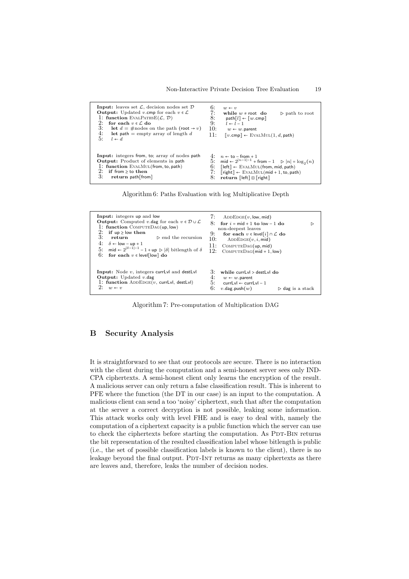| <b>Input:</b> leaves set $\mathcal{L}$ , decision nodes set $\mathcal{D}$<br><b>Output:</b> Updated v.cmp for each $v \in \mathcal{L}$<br>1: function EVALPATHSE $(\mathcal{L}, \mathcal{D})$<br>for each $v \in \mathcal{L}$ do<br>2:<br>3:<br><b>let</b> $d = \text{\#nodes on the path (root \to v)}$<br>4:<br>let path = empty array of length $d$<br>5:<br>$l \leftarrow d$ | 6:<br>$w \leftarrow v$<br>7:<br>8:<br>9:<br>10:<br>11: | while $w \neq \text{root}$ do<br>$\triangleright$ path to root<br>$path[l] \leftarrow [w.cmp]$<br>$l \leftarrow l-1$<br>$w \leftarrow w$ . parent<br>$[v.cmp] \leftarrow$ EVALMUL $(1, d,$ path)                                                                                                                                                |  |
|----------------------------------------------------------------------------------------------------------------------------------------------------------------------------------------------------------------------------------------------------------------------------------------------------------------------------------------------------------------------------------|--------------------------------------------------------|-------------------------------------------------------------------------------------------------------------------------------------------------------------------------------------------------------------------------------------------------------------------------------------------------------------------------------------------------|--|
| <b>Input:</b> integers from, to; array of nodes path<br><b>Output:</b> Product of elements in path<br>1: function EVALMUL(from, to, path)<br>2:<br>if from $>$ to then<br>3:<br>return path[from]                                                                                                                                                                                | 6:<br>7:<br>8:                                         | 4: $n \leftarrow$ to – from + 1<br>5: mid $\leftarrow 2^{ n-1 -1}$ + from $-1$ $\triangleright$ $ n $ = $\log_2(n)$<br>$\lceil \text{left} \rceil \leftarrow \text{EVALMUL}(\text{from}, \text{mid}, \text{path})$<br>$\lceil \text{right} \rceil \leftarrow \text{EVALMUL}(\text{mid} + 1, \text{to}, \text{path})$<br>return [left] ⊡ [right] |  |





Algorithm 7: Pre-computation of Multiplication DAG

# B Security Analysis

It is straightforward to see that our protocols are secure. There is no interaction with the client during the computation and a semi-honest server sees only IND-CPA ciphertexts. A semi-honest client only learns the encryption of the result. A malicious server can only return a false classification result. This is inherent to PFE where the function (the DT in our case) is an input to the computation. A malicious client can send a too 'noisy' ciphertext, such that after the computation at the server a correct decryption is not possible, leaking some information. This attack works only with level FHE and is easy to deal with, namely the computation of a ciphertext capacity is a public function which the server can use to check the ciphertexts before starting the computation. As PDT-BIN returns the bit representation of the resulted classification label whose bitlength is public (i.e., the set of possible classification labels is known to the client), there is no leakage beyond the final output. PDT-INT returns as many ciphertexts as there are leaves and, therefore, leaks the number of decision nodes.